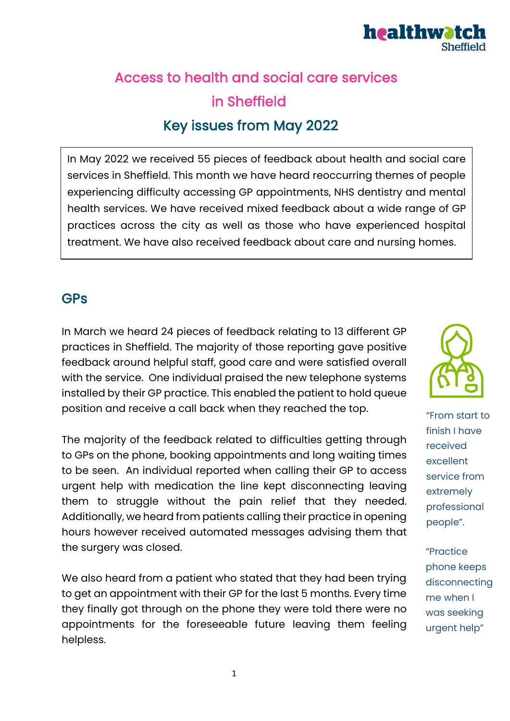

# Access to health and social care services in Sheffield Key issues from May 2022

In May 2022 we received 55 pieces of feedback about health and social care services in Sheffield. This month we have heard reoccurring themes of people experiencing difficulty accessing GP appointments, NHS dentistry and mental health services. We have received mixed feedback about a wide range of GP practices across the city as well as those who have experienced hospital treatment. We have also received feedback about care and nursing homes.

#### **GPs**

In March we heard 24 pieces of feedback relating to 13 different GP practices in Sheffield. The majority of those reporting gave positive feedback around helpful staff, good care and were satisfied overall with the service. One individual praised the new telephone systems installed by their GP practice. This enabled the patient to hold queue position and receive a call back when they reached the top.

The majority of the feedback related to difficulties getting through to GPs on the phone, booking appointments and long waiting times to be seen. An individual reported when calling their GP to access urgent help with medication the line kept disconnecting leaving them to struggle without the pain relief that they needed. Additionally, we heard from patients calling their practice in opening hours however received automated messages advising them that the surgery was closed.

We also heard from a patient who stated that they had been trying to get an appointment with their GP for the last 5 months. Every time they finally got through on the phone they were told there were no appointments for the foreseeable future leaving them feeling helpless.



"From start to finish I have received excellent service from extremely professional people".

"Practice phone keeps disconnecting me when I was seeking urgent help"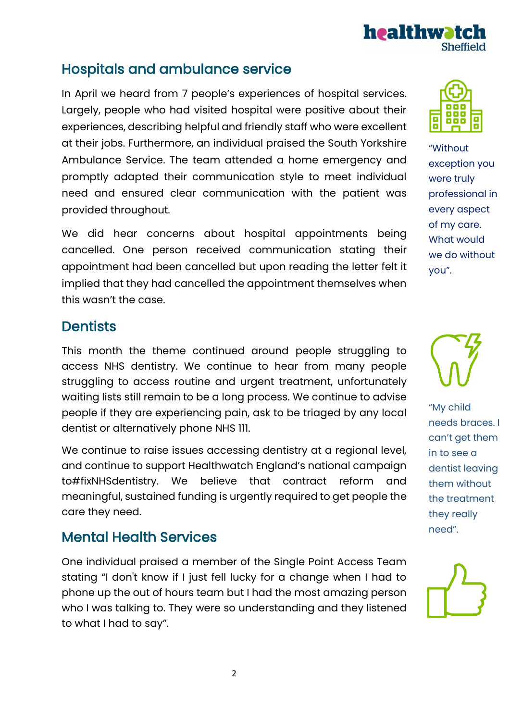# Hospitals and ambulance service

In April we heard from 7 people's experiences of hospital services. Largely, people who had visited hospital were positive about their experiences, describing helpful and friendly staff who were excellent at their jobs. Furthermore, an individual praised the South Yorkshire Ambulance Service. The team attended a home emergency and promptly adapted their communication style to meet individual need and ensured clear communication with the patient was provided throughout.

We did hear concerns about hospital appointments being cancelled. One person received communication stating their appointment had been cancelled but upon reading the letter felt it implied that they had cancelled the appointment themselves when this wasn't the case.

#### **Dentists**

This month the theme continued around people struggling to access NHS dentistry. We continue to hear from many people struggling to access routine and urgent treatment, unfortunately waiting lists still remain to be a long process. We continue to advise people if they are experiencing pain, ask to be triaged by any local dentist or alternatively phone NHS 111.

We continue to raise issues accessing dentistry at a regional level, and continue to support Healthwatch England's national campaign to#fixNHSdentistry. We believe that contract reform and meaningful, sustained funding is urgently required to get people the care they need.

### Mental Health Services

One individual praised a member of the Single Point Access Team stating "I don't know if I just fell lucky for a change when I had to phone up the out of hours team but I had the most amazing person who I was talking to. They were so understanding and they listened to what I had to say".

#### "Without exception you were truly professional in every aspect of my care. What would we do without you".





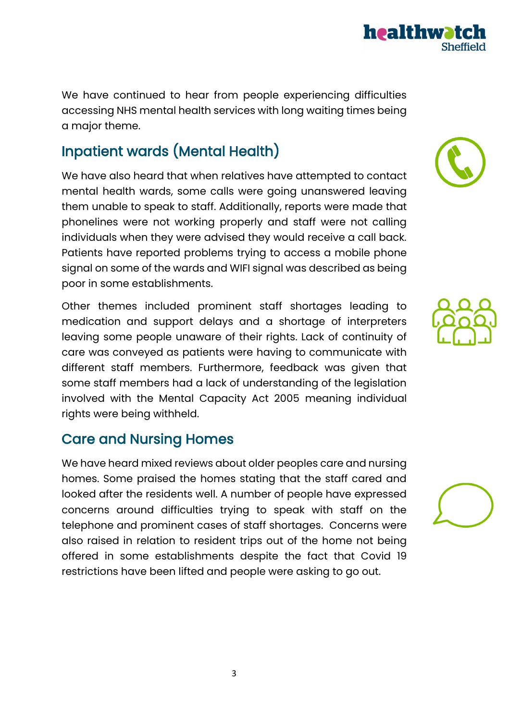We have continued to hear from people experiencing difficulties accessing NHS mental health services with long waiting times being a major theme.

## Inpatient wards (Mental Health)

We have also heard that when relatives have attempted to contact mental health wards, some calls were going unanswered leaving them unable to speak to staff. Additionally, reports were made that phonelines were not working properly and staff were not calling individuals when they were advised they would receive a call back. Patients have reported problems trying to access a mobile phone signal on some of the wards and WIFI signal was described as being poor in some establishments.

Other themes included prominent staff shortages leading to medication and support delays and a shortage of interpreters leaving some people unaware of their rights. Lack of continuity of care was conveyed as patients were having to communicate with different staff members. Furthermore, feedback was given that some staff members had a lack of understanding of the legislation involved with the Mental Capacity Act 2005 meaning individual rights were being withheld.

## Care and Nursing Homes

We have heard mixed reviews about older peoples care and nursing homes. Some praised the homes stating that the staff cared and looked after the residents well. A number of people have expressed concerns around difficulties trying to speak with staff on the telephone and prominent cases of staff shortages. Concerns were also raised in relation to resident trips out of the home not being offered in some establishments despite the fact that Covid 19 restrictions have been lifted and people were asking to go out.







3